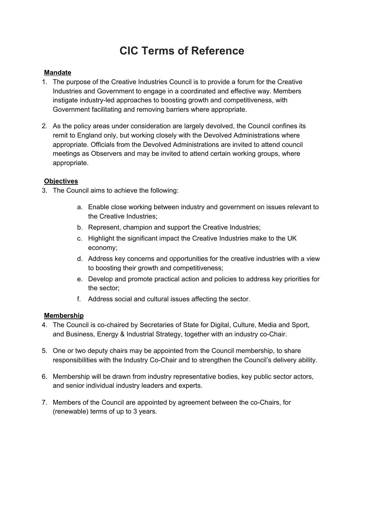# **CIC Terms of Reference**

## **Mandate**

- 1. The purpose of the Creative Industries Council is to provide a forum for the Creative Industries and Government to engage in a coordinated and effective way. Members instigate industry-led approaches to boosting growth and competitiveness, with Government facilitating and removing barriers where appropriate.
- 2. As the policy areas under consideration are largely devolved, the Council confines its remit to England only, but working closely with the Devolved Administrations where appropriate. Officials from the Devolved Administrations are invited to attend council meetings as Observers and may be invited to attend certain working groups, where appropriate.

## **Objectives**

- 3. The Council aims to achieve the following:
	- a. Enable close working between industry and government on issues relevant to the Creative Industries;
	- b. Represent, champion and support the Creative Industries;
	- c. Highlight the significant impact the Creative Industries make to the UK economy;
	- d. Address key concerns and opportunities for the creative industries with a view to boosting their growth and competitiveness;
	- e. Develop and promote practical action and policies to address key priorities for the sector;
	- f. Address social and cultural issues affecting the sector.

#### **Membership**

- 4. The Council is co-chaired by Secretaries of State for Digital, Culture, Media and Sport, and Business, Energy & Industrial Strategy, together with an industry co-Chair.
- 5. One or two deputy chairs may be appointed from the Council membership, to share responsibilities with the Industry Co-Chair and to strengthen the Council's delivery ability.
- 6. Membership will be drawn from industry representative bodies, key public sector actors, and senior individual industry leaders and experts.
- 7. Members of the Council are appointed by agreement between the co-Chairs, for (renewable) terms of up to 3 years.